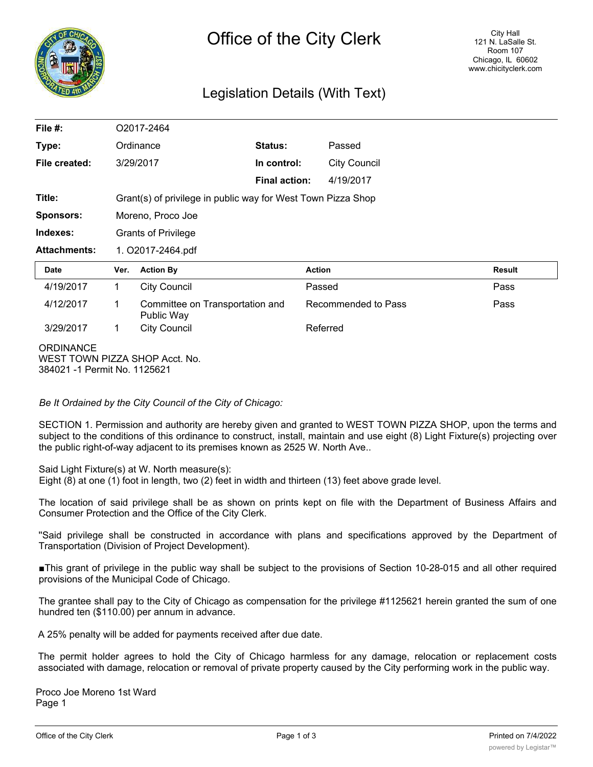

## Legislation Details (With Text)

| File #:             |                                                              | O2017-2464                                    |                      |                     |               |  |
|---------------------|--------------------------------------------------------------|-----------------------------------------------|----------------------|---------------------|---------------|--|
| Type:               |                                                              | Ordinance                                     | Status:              | Passed              |               |  |
| File created:       |                                                              | 3/29/2017                                     | In control:          | <b>City Council</b> |               |  |
|                     |                                                              |                                               | <b>Final action:</b> | 4/19/2017           |               |  |
| Title:              | Grant(s) of privilege in public way for West Town Pizza Shop |                                               |                      |                     |               |  |
| <b>Sponsors:</b>    |                                                              | Moreno, Proco Joe                             |                      |                     |               |  |
| Indexes:            |                                                              | <b>Grants of Privilege</b>                    |                      |                     |               |  |
| <b>Attachments:</b> | 1. O2017-2464.pdf                                            |                                               |                      |                     |               |  |
|                     |                                                              |                                               |                      |                     |               |  |
| Date                | Ver.                                                         | <b>Action By</b>                              | <b>Action</b>        |                     | <b>Result</b> |  |
| 4/19/2017           | 1                                                            | <b>City Council</b>                           | Passed               |                     | Pass          |  |
| 4/12/2017           | 1                                                            | Committee on Transportation and<br>Public Way |                      | Recommended to Pass | Pass          |  |
| 3/29/2017           | $\mathbf{1}$                                                 | <b>City Council</b>                           |                      | Referred            |               |  |

*Be It Ordained by the City Council of the City of Chicago:*

SECTION 1. Permission and authority are hereby given and granted to WEST TOWN PIZZA SHOP, upon the terms and subject to the conditions of this ordinance to construct, install, maintain and use eight (8) Light Fixture(s) projecting over the public right-of-way adjacent to its premises known as 2525 W. North Ave..

Said Light Fixture(s) at W. North measure(s):

Eight (8) at one (1) foot in length, two (2) feet in width and thirteen (13) feet above grade level.

The location of said privilege shall be as shown on prints kept on file with the Department of Business Affairs and Consumer Protection and the Office of the City Clerk.

''Said privilege shall be constructed in accordance with plans and specifications approved by the Department of Transportation (Division of Project Development).

■This grant of privilege in the public way shall be subject to the provisions of Section 10-28-015 and all other required provisions of the Municipal Code of Chicago.

The grantee shall pay to the City of Chicago as compensation for the privilege #1125621 herein granted the sum of one hundred ten (\$110.00) per annum in advance.

A 25% penalty will be added for payments received after due date.

The permit holder agrees to hold the City of Chicago harmless for any damage, relocation or replacement costs associated with damage, relocation or removal of private property caused by the City performing work in the public way.

Proco Joe Moreno 1st Ward Page 1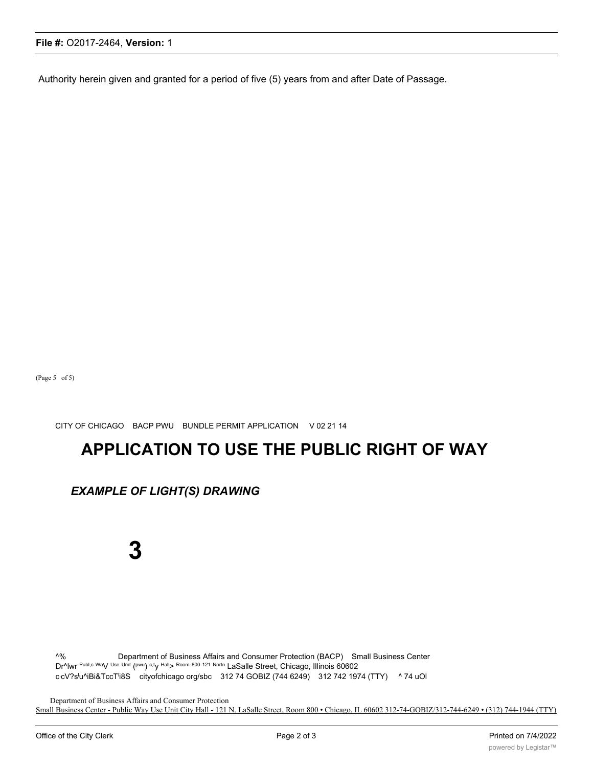#### **File #:** O2017-2464, **Version:** 1

Authority herein given and granted for a period of five (5) years from and after Date of Passage.

(Page 5 of 5)

CITY OF CHICAGO BACP PWU BUNDLE PERMIT APPLICATION V 02 21 14

# **APPLICATION TO USE THE PUBLIC RIGHT OF WAY**

### *EXAMPLE OF LIGHT(S) DRAWING*

**3**

^% Department of Business Affairs and Consumer Protection (BACP) Small Business Center Dr^lwr Publ,c Way Use Umt (pwu) c,ty Hall> Room 800 121 Nortn LaSalle Street, Chicago, Illinois 60602 ccV?s<sup>l</sup>u^iBi&TccT<sup>i</sup>i8S cityofchicago org/sbc 312 74 GOBIZ (744 6249) 312 742 1974 (TTY) ^ 74 uOl

Department of Business Affairs and Consumer Protection Small Business Center - Public Way Use Unit City Hall - 121 N. LaSalle Street, Room 800 • Chicago, IL 60602 312-74-GOBIZ/312-744-6249 • (312) 744-1944 (TTY)